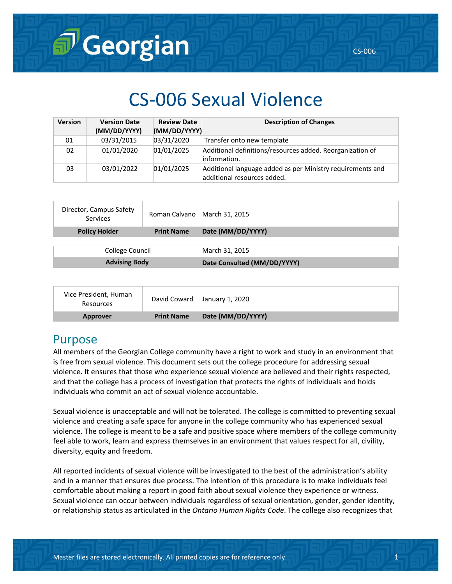# CS-006 Sexual Violence

| <b>Version</b> | <b>Version Date</b><br>(MM/DD/YYYY) | <b>Review Date</b><br>(MM/DD/YYYY) | <b>Description of Changes</b>                                                             |
|----------------|-------------------------------------|------------------------------------|-------------------------------------------------------------------------------------------|
| 01             | 03/31/2015                          | 03/31/2020                         | Transfer onto new template                                                                |
| 02             | 01/01/2020                          | 01/01/2025                         | Additional definitions/resources added. Reorganization of<br>information.                 |
| 03             | 03/01/2022                          | 01/01/2025                         | Additional language added as per Ministry requirements and<br>additional resources added. |

| Director, Campus Safety<br>Services | Roman Calvano March 31, 2015 |                             |  |
|-------------------------------------|------------------------------|-----------------------------|--|
| <b>Policy Holder</b>                | <b>Print Name</b>            | Date (MM/DD/YYYY)           |  |
|                                     |                              |                             |  |
| College Council                     |                              | March 31, 2015              |  |
| <b>Advising Body</b>                |                              | Date Consulted (MM/DD/YYYY) |  |

| Vice President, Human<br>Resources | David Coward      | January 1, 2020   |
|------------------------------------|-------------------|-------------------|
| Approver                           | <b>Print Name</b> | Date (MM/DD/YYYY) |

### Purpose

All members of the Georgian College community have a right to work and study in an environment that is free from sexual violence. This document sets out the college procedure for addressing sexual violence. It ensures that those who experience sexual violence are believed and their rights respected, and that the college has a process of investigation that protects the rights of individuals and holds individuals who commit an act of sexual violence accountable.

Sexual violence is unacceptable and will not be tolerated. The college is committed to preventing sexual violence and creating a safe space for anyone in the college community who has experienced sexual violence. The college is meant to be a safe and positive space where members of the college community feel able to work, learn and express themselves in an environment that values respect for all, civility, diversity, equity and freedom.

All reported incidents of sexual violence will be investigated to the best of the administration's ability and in a manner that ensures due process. The intention of this procedure is to make individuals feel comfortable about making a report in good faith about sexual violence they experience or witness. Sexual violence can occur between individuals regardless of sexual orientation, gender, gender identity, or relationship status as articulated in the *Ontario Human Rights Code*. The college also recognizes that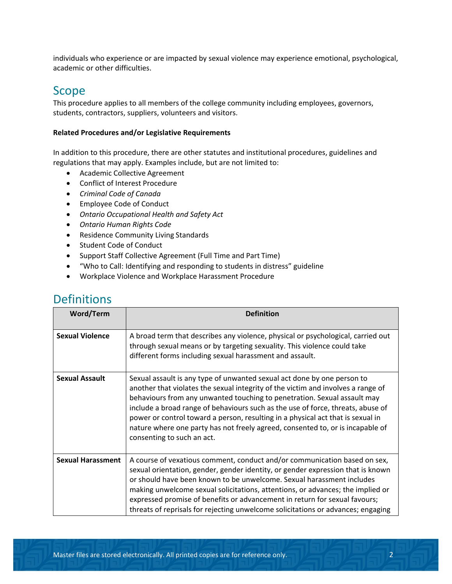individuals who experience or are impacted by sexual violence may experience emotional, psychological, academic or other difficulties.

### Scope

This procedure applies to all members of the college community including employees, governors, students, contractors, suppliers, volunteers and visitors.

#### **Related Procedures and/or Legislative Requirements**

In addition to this procedure, there are other statutes and institutional procedures, guidelines and regulations that may apply. Examples include, but are not limited to:

- Academic Collective Agreement
- Conflict of Interest Procedure
- *Criminal Code of Canada*
- Employee Code of Conduct
- *Ontario Occupational Health and Safety Act*
- *Ontario Human Rights Code*
- Residence Community Living Standards
- Student Code of Conduct
- Support Staff Collective Agreement (Full Time and Part Time)
- "Who to Call: Identifying and responding to students in distress" guideline
- Workplace Violence and Workplace Harassment Procedure

# **Definitions**

| <b>Word/Term</b>         | <b>Definition</b>                                                                                                                                                                                                                                                                                                                                                                                                                                                                                                             |
|--------------------------|-------------------------------------------------------------------------------------------------------------------------------------------------------------------------------------------------------------------------------------------------------------------------------------------------------------------------------------------------------------------------------------------------------------------------------------------------------------------------------------------------------------------------------|
| <b>Sexual Violence</b>   | A broad term that describes any violence, physical or psychological, carried out<br>through sexual means or by targeting sexuality. This violence could take<br>different forms including sexual harassment and assault.                                                                                                                                                                                                                                                                                                      |
| <b>Sexual Assault</b>    | Sexual assault is any type of unwanted sexual act done by one person to<br>another that violates the sexual integrity of the victim and involves a range of<br>behaviours from any unwanted touching to penetration. Sexual assault may<br>include a broad range of behaviours such as the use of force, threats, abuse of<br>power or control toward a person, resulting in a physical act that is sexual in<br>nature where one party has not freely agreed, consented to, or is incapable of<br>consenting to such an act. |
| <b>Sexual Harassment</b> | A course of vexatious comment, conduct and/or communication based on sex,<br>sexual orientation, gender, gender identity, or gender expression that is known<br>or should have been known to be unwelcome. Sexual harassment includes<br>making unwelcome sexual solicitations, attentions, or advances; the implied or<br>expressed promise of benefits or advancement in return for sexual favours;<br>threats of reprisals for rejecting unwelcome solicitations or advances; engaging                                     |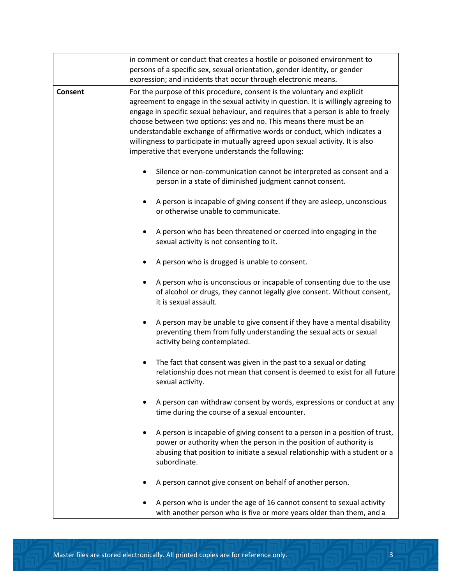|         | in comment or conduct that creates a hostile or poisoned environment to<br>persons of a specific sex, sexual orientation, gender identity, or gender<br>expression; and incidents that occur through electronic means.                                                                                                                                                                                                                                                                                                                             |  |  |
|---------|----------------------------------------------------------------------------------------------------------------------------------------------------------------------------------------------------------------------------------------------------------------------------------------------------------------------------------------------------------------------------------------------------------------------------------------------------------------------------------------------------------------------------------------------------|--|--|
| Consent | For the purpose of this procedure, consent is the voluntary and explicit<br>agreement to engage in the sexual activity in question. It is willingly agreeing to<br>engage in specific sexual behaviour, and requires that a person is able to freely<br>choose between two options: yes and no. This means there must be an<br>understandable exchange of affirmative words or conduct, which indicates a<br>willingness to participate in mutually agreed upon sexual activity. It is also<br>imperative that everyone understands the following: |  |  |
|         | Silence or non-communication cannot be interpreted as consent and a<br>person in a state of diminished judgment cannot consent.                                                                                                                                                                                                                                                                                                                                                                                                                    |  |  |
|         | A person is incapable of giving consent if they are asleep, unconscious<br>or otherwise unable to communicate.                                                                                                                                                                                                                                                                                                                                                                                                                                     |  |  |
|         | A person who has been threatened or coerced into engaging in the<br>sexual activity is not consenting to it.                                                                                                                                                                                                                                                                                                                                                                                                                                       |  |  |
|         | A person who is drugged is unable to consent.                                                                                                                                                                                                                                                                                                                                                                                                                                                                                                      |  |  |
|         | A person who is unconscious or incapable of consenting due to the use<br>of alcohol or drugs, they cannot legally give consent. Without consent,<br>it is sexual assault.                                                                                                                                                                                                                                                                                                                                                                          |  |  |
|         | A person may be unable to give consent if they have a mental disability<br>preventing them from fully understanding the sexual acts or sexual<br>activity being contemplated.                                                                                                                                                                                                                                                                                                                                                                      |  |  |
|         | The fact that consent was given in the past to a sexual or dating<br>relationship does not mean that consent is deemed to exist for all future<br>sexual activity.                                                                                                                                                                                                                                                                                                                                                                                 |  |  |
|         | A person can withdraw consent by words, expressions or conduct at any<br>time during the course of a sexual encounter.                                                                                                                                                                                                                                                                                                                                                                                                                             |  |  |
|         | A person is incapable of giving consent to a person in a position of trust,<br>power or authority when the person in the position of authority is<br>abusing that position to initiate a sexual relationship with a student or a<br>subordinate.                                                                                                                                                                                                                                                                                                   |  |  |
|         | A person cannot give consent on behalf of another person.                                                                                                                                                                                                                                                                                                                                                                                                                                                                                          |  |  |
|         | A person who is under the age of 16 cannot consent to sexual activity<br>with another person who is five or more years older than them, and a                                                                                                                                                                                                                                                                                                                                                                                                      |  |  |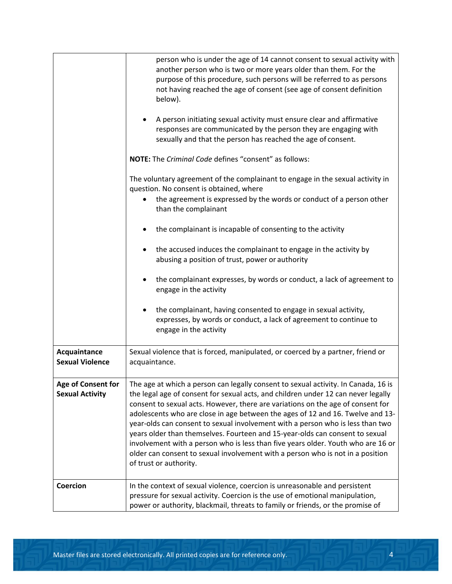|                                              | person who is under the age of 14 cannot consent to sexual activity with<br>another person who is two or more years older than them. For the<br>purpose of this procedure, such persons will be referred to as persons<br>not having reached the age of consent (see age of consent definition<br>below).<br>A person initiating sexual activity must ensure clear and affirmative<br>responses are communicated by the person they are engaging with<br>sexually and that the person has reached the age of consent.                                                                                                                                                                                          |  |
|----------------------------------------------|----------------------------------------------------------------------------------------------------------------------------------------------------------------------------------------------------------------------------------------------------------------------------------------------------------------------------------------------------------------------------------------------------------------------------------------------------------------------------------------------------------------------------------------------------------------------------------------------------------------------------------------------------------------------------------------------------------------|--|
|                                              | NOTE: The Criminal Code defines "consent" as follows:                                                                                                                                                                                                                                                                                                                                                                                                                                                                                                                                                                                                                                                          |  |
|                                              | The voluntary agreement of the complainant to engage in the sexual activity in<br>question. No consent is obtained, where<br>the agreement is expressed by the words or conduct of a person other                                                                                                                                                                                                                                                                                                                                                                                                                                                                                                              |  |
|                                              | than the complainant                                                                                                                                                                                                                                                                                                                                                                                                                                                                                                                                                                                                                                                                                           |  |
|                                              | the complainant is incapable of consenting to the activity                                                                                                                                                                                                                                                                                                                                                                                                                                                                                                                                                                                                                                                     |  |
|                                              | the accused induces the complainant to engage in the activity by<br>abusing a position of trust, power or authority                                                                                                                                                                                                                                                                                                                                                                                                                                                                                                                                                                                            |  |
|                                              | the complainant expresses, by words or conduct, a lack of agreement to<br>engage in the activity                                                                                                                                                                                                                                                                                                                                                                                                                                                                                                                                                                                                               |  |
|                                              | the complainant, having consented to engage in sexual activity,<br>expresses, by words or conduct, a lack of agreement to continue to<br>engage in the activity                                                                                                                                                                                                                                                                                                                                                                                                                                                                                                                                                |  |
| Acquaintance<br><b>Sexual Violence</b>       | Sexual violence that is forced, manipulated, or coerced by a partner, friend or<br>acquaintance.                                                                                                                                                                                                                                                                                                                                                                                                                                                                                                                                                                                                               |  |
| Age of Consent for<br><b>Sexual Activity</b> | The age at which a person can legally consent to sexual activity. In Canada, 16 is<br>the legal age of consent for sexual acts, and children under 12 can never legally<br>consent to sexual acts. However, there are variations on the age of consent for<br>adolescents who are close in age between the ages of 12 and 16. Twelve and 13-<br>year-olds can consent to sexual involvement with a person who is less than two<br>years older than themselves. Fourteen and 15-year-olds can consent to sexual<br>involvement with a person who is less than five years older. Youth who are 16 or<br>older can consent to sexual involvement with a person who is not in a position<br>of trust or authority. |  |
| <b>Coercion</b>                              | In the context of sexual violence, coercion is unreasonable and persistent<br>pressure for sexual activity. Coercion is the use of emotional manipulation,<br>power or authority, blackmail, threats to family or friends, or the promise of                                                                                                                                                                                                                                                                                                                                                                                                                                                                   |  |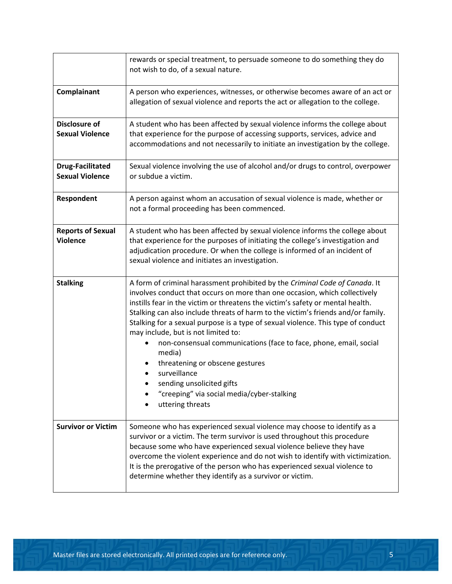|                                                   | rewards or special treatment, to persuade someone to do something they do<br>not wish to do, of a sexual nature.                                                                                                                                                                                                                                                                                                                                                                                                                                                                                                                                                                            |  |  |
|---------------------------------------------------|---------------------------------------------------------------------------------------------------------------------------------------------------------------------------------------------------------------------------------------------------------------------------------------------------------------------------------------------------------------------------------------------------------------------------------------------------------------------------------------------------------------------------------------------------------------------------------------------------------------------------------------------------------------------------------------------|--|--|
| Complainant                                       | A person who experiences, witnesses, or otherwise becomes aware of an act or<br>allegation of sexual violence and reports the act or allegation to the college.                                                                                                                                                                                                                                                                                                                                                                                                                                                                                                                             |  |  |
| Disclosure of<br><b>Sexual Violence</b>           | A student who has been affected by sexual violence informs the college about<br>that experience for the purpose of accessing supports, services, advice and<br>accommodations and not necessarily to initiate an investigation by the college.                                                                                                                                                                                                                                                                                                                                                                                                                                              |  |  |
| <b>Drug-Facilitated</b><br><b>Sexual Violence</b> | Sexual violence involving the use of alcohol and/or drugs to control, overpower<br>or subdue a victim.                                                                                                                                                                                                                                                                                                                                                                                                                                                                                                                                                                                      |  |  |
| Respondent                                        | A person against whom an accusation of sexual violence is made, whether or<br>not a formal proceeding has been commenced.                                                                                                                                                                                                                                                                                                                                                                                                                                                                                                                                                                   |  |  |
| <b>Reports of Sexual</b><br><b>Violence</b>       | A student who has been affected by sexual violence informs the college about<br>that experience for the purposes of initiating the college's investigation and<br>adjudication procedure. Or when the college is informed of an incident of<br>sexual violence and initiates an investigation.                                                                                                                                                                                                                                                                                                                                                                                              |  |  |
| <b>Stalking</b>                                   | A form of criminal harassment prohibited by the Criminal Code of Canada. It<br>involves conduct that occurs on more than one occasion, which collectively<br>instills fear in the victim or threatens the victim's safety or mental health.<br>Stalking can also include threats of harm to the victim's friends and/or family.<br>Stalking for a sexual purpose is a type of sexual violence. This type of conduct<br>may include, but is not limited to:<br>non-consensual communications (face to face, phone, email, social<br>media)<br>threatening or obscene gestures<br>surveillance<br>sending unsolicited gifts<br>"creeping" via social media/cyber-stalking<br>uttering threats |  |  |
| <b>Survivor or Victim</b>                         | Someone who has experienced sexual violence may choose to identify as a<br>survivor or a victim. The term survivor is used throughout this procedure<br>because some who have experienced sexual violence believe they have<br>overcome the violent experience and do not wish to identify with victimization.<br>It is the prerogative of the person who has experienced sexual violence to<br>determine whether they identify as a survivor or victim.                                                                                                                                                                                                                                    |  |  |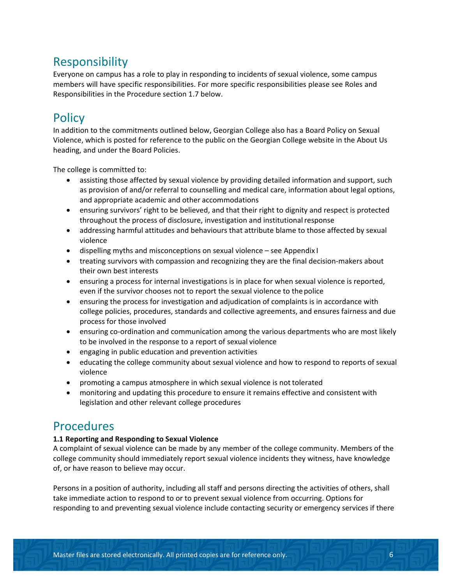# Responsibility

Everyone on campus has a role to play in responding to incidents of sexual violence, some campus members will have specific responsibilities. For more specific responsibilities please see Roles and Responsibilities in the Procedure section 1.7 below.

# **Policy**

In addition to the commitments outlined below, Georgian College also has a Board Policy on Sexual Violence, which is posted for reference to the public on the Georgian College website in the About Us heading, and under the Board Policies.

The college is committed to:

- assisting those affected by sexual violence by providing detailed information and support, such as provision of and/or referral to counselling and medical care, information about legal options, and appropriate academic and other accommodations
- ensuring survivors' right to be believed, and that their right to dignity and respect is protected throughout the process of disclosure, investigation and institutionalresponse
- addressing harmful attitudes and behaviours that attribute blame to those affected by sexual violence
- dispelling myths and misconceptions on sexual violence see Appendix I
- treating survivors with compassion and recognizing they are the final decision-makers about their own best interests
- ensuring a process for internal investigations is in place for when sexual violence is reported, even if the survivor chooses not to report the sexual violence to thepolice
- ensuring the process for investigation and adjudication of complaints is in accordance with college policies, procedures, standards and collective agreements, and ensures fairness and due process for those involved
- ensuring co-ordination and communication among the various departments who are most likely to be involved in the response to a report of sexual violence
- engaging in public education and prevention activities
- educating the college community about sexual violence and how to respond to reports of sexual violence
- promoting a campus atmosphere in which sexual violence is not tolerated
- monitoring and updating this procedure to ensure it remains effective and consistent with legislation and other relevant college procedures

# **Procedures**

#### **1.1 Reporting and Responding to Sexual Violence**

A complaint of sexual violence can be made by any member of the college community. Members of the college community should immediately report sexual violence incidents they witness, have knowledge of, or have reason to believe may occur.

Persons in a position of authority, including all staff and persons directing the activities of others, shall take immediate action to respond to or to prevent sexual violence from occurring. Options for responding to and preventing sexual violence include contacting security or emergency services if there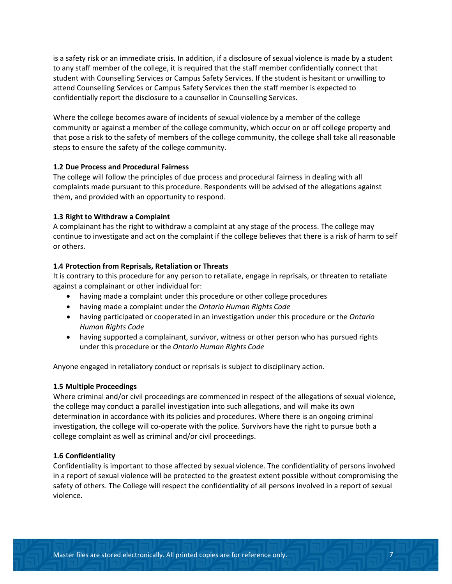is a safety risk or an immediate crisis. In addition, if a disclosure of sexual violence is made by a student to any staff member of the college, it is required that the staff member confidentially connect that student with Counselling Services or Campus Safety Services. If the student is hesitant or unwilling to attend Counselling Services or Campus Safety Services then the staff member is expected to confidentially report the disclosure to a counsellor in Counselling Services.

Where the college becomes aware of incidents of sexual violence by a member of the college community or against a member of the college community, which occur on or off college property and that pose a risk to the safety of members of the college community, the college shall take all reasonable steps to ensure the safety of the college community.

#### **1.2 Due Process and Procedural Fairness**

The college will follow the principles of due process and procedural fairness in dealing with all complaints made pursuant to this procedure. Respondents will be advised of the allegations against them, and provided with an opportunity to respond.

#### **1.3 Right to Withdraw a Complaint**

A complainant has the right to withdraw a complaint at any stage of the process. The college may continue to investigate and act on the complaint if the college believes that there is a risk of harm to self or others.

#### **1.4 Protection from Reprisals, Retaliation or Threats**

It is contrary to this procedure for any person to retaliate, engage in reprisals, or threaten to retaliate against a complainant or other individual for:

- having made a complaint under this procedure or other college procedures
- having made a complaint under the *Ontario Human Rights Code*
- having participated or cooperated in an investigation under this procedure or the *Ontario Human Rights Code*
- having supported a complainant, survivor, witness or other person who has pursued rights under this procedure or the *Ontario Human Rights Code*

Anyone engaged in retaliatory conduct or reprisals is subject to disciplinary action.

#### **1.5 Multiple Proceedings**

Where criminal and/or civil proceedings are commenced in respect of the allegations of sexual violence, the college may conduct a parallel investigation into such allegations, and will make its own determination in accordance with its policies and procedures. Where there is an ongoing criminal investigation, the college will co-operate with the police. Survivors have the right to pursue both a college complaint as well as criminal and/or civil proceedings.

#### **1.6 Confidentiality**

Confidentiality is important to those affected by sexual violence. The confidentiality of persons involved in a report of sexual violence will be protected to the greatest extent possible without compromising the safety of others. The College will respect the confidentiality of all persons involved in a report of sexual violence.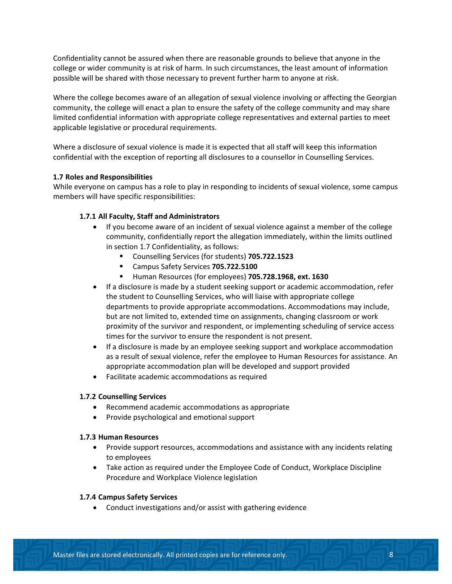Confidentiality cannot be assured when there are reasonable grounds to believe that anyone in the college or wider community is at risk of harm. In such circumstances, the least amount of information possible will be shared with those necessary to prevent further harm to anyone at risk.

Where the college becomes aware of an allegation of sexual violence involving or affecting the Georgian community, the college will enact a plan to ensure the safety of the college community and may share limited confidential information with appropriate college representatives and external parties to meet applicable legislative or procedural requirements.

Where a disclosure of sexual violence is made it is expected that all staff will keep this information confidential with the exception of reporting all disclosures to a counsellor in Counselling Services.

#### **1.7 Roles and Responsibilities**

While everyone on campus has a role to play in responding to incidents of sexual violence, some campus members will have specific responsibilities:

#### **1.7.1 All Faculty, Staff and Administrators**

- If you become aware of an incident of sexual violence against a member of the college community, confidentially report the allegation immediately, within the limits outlined in section 1.7 Confidentiality, as follows:
	- Counselling Services (for students) **705.722.1523**
	- Campus Safety Services **705.722.5100**
	- Human Resources (for employees) **705.728.1968, ext. 1630**
- If a disclosure is made by a student seeking support or academic accommodation, refer the student to Counselling Services, who will liaise with appropriate college departments to provide appropriate accommodations. Accommodations may include, but are not limited to, extended time on assignments, changing classroom or work proximity of the survivor and respondent, or implementing scheduling of service access times for the survivor to ensure the respondent is not present.
- If a disclosure is made by an employee seeking support and workplace accommodation as a result of sexual violence, refer the employee to Human Resources for assistance. An appropriate accommodation plan will be developed and support provided
- Facilitate academic accommodations as required

#### **1.7.2 Counselling Services**

- Recommend academic accommodations as appropriate
- Provide psychological and emotional support

#### **1.7.3 Human Resources**

- Provide support resources, accommodations and assistance with any incidents relating to employees
- Take action as required under the Employee Code of Conduct, Workplace Discipline Procedure and Workplace Violence legislation

#### **1.7.4 Campus Safety Services**

• Conduct investigations and/or assist with gathering evidence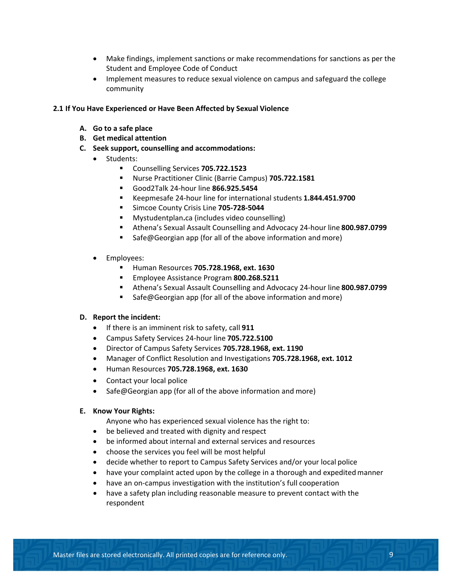- Make findings, implement sanctions or make recommendations for sanctions as per the Student and Employee Code of Conduct
- Implement measures to reduce sexual violence on campus and safeguard the college community

#### **2.1 If You Have Experienced or Have Been Affected by Sexual Violence**

- **A. Go to a safe place**
- **B. Get medical attention**
- **C. Seek support, counselling and accommodations:**
	- Students:
		- Counselling Services **705.722.1523**
		- Nurse Practitioner Clinic (Barrie Campus) **705.722.1581**
		- Good2Talk 24-hour line **866.925.5454**
		- Keepmesafe 24-hour line for international students **1.844.451.9700**
		- **Simcoe County Crisis Line 705-728-5044**
		- Mystudentplan**.**ca (includes video counselling)
		- Athena's Sexual Assault Counselling and Advocacy 24-hour line **800.987.0799**
		- Safe@Georgian app (for all of the above information and more)
	- Employees:
		- Human Resources **705.728.1968, ext. 1630**
		- Employee Assistance Program **800.268.5211**
		- Athena's Sexual Assault Counselling and Advocacy 24-hour line **800.987.0799**
		- Safe@Georgian app (for all of the above information and more)

#### **D. Report the incident:**

- If there is an imminent risk to safety, call **911**
- Campus Safety Services 24-hour line **705.722.5100**
- Director of Campus Safety Services **705.728.1968, ext. 1190**
- Manager of Conflict Resolution and Investigations **705.728.1968, ext. 1012**
- Human Resources **705.728.1968, ext. 1630**
- Contact your local police
- Safe@Georgian app (for all of the above information and more)

#### **E. Know Your Rights:**

Anyone who has experienced sexual violence has the right to:

- be believed and treated with dignity and respect
- be informed about internal and external services and resources
- choose the services you feel will be most helpful
- decide whether to report to Campus Safety Services and/or your local police
- have your complaint acted upon by the college in a thorough and expedited manner
- have an on-campus investigation with the institution's full cooperation
- have a safety plan including reasonable measure to prevent contact with the respondent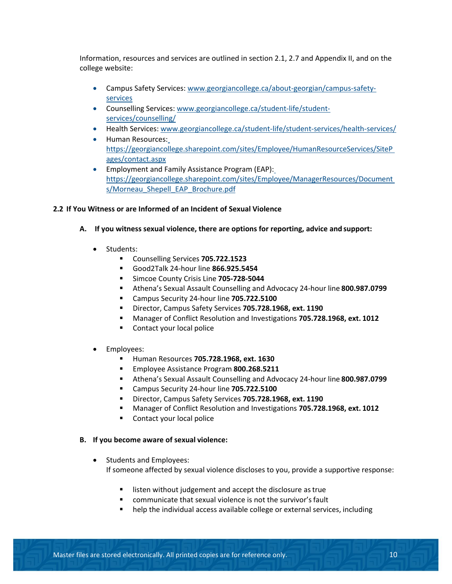Information, resources and services are outlined in section 2.1, 2.7 and Appendix II, and on the college website:

- Campus Safety Services: [www.georgiancollege.ca/about-georgian/campus-safety](http://www.georgiancollege.ca/about-georgian/campus-safety-services)[services](http://www.georgiancollege.ca/about-georgian/campus-safety-services)
- Counselling Services: [www.georgiancollege.ca/student-life/student](http://www.georgiancollege.ca/student-life/student-services/counselling/)[services/counselling/](http://www.georgiancollege.ca/student-life/student-services/counselling/)
- Health Services: [www.georgiancollege.ca/student-life/student-services/health-services/](http://www.georgiancollege.ca/student-life/student-services/health-services/)
- Human Resources[:](https://georgiancollege.sharepoint.com/sites/Employee/HumanResourceServices/SitePages/contact.aspx) [https://georgiancollege.sharepoint.com/sites/Employee/HumanResourceServices/SiteP](https://georgiancollege.sharepoint.com/sites/Employee/HumanResourceServices/SitePages/contact.aspx) [ages/contact.aspx](https://georgiancollege.sharepoint.com/sites/Employee/HumanResourceServices/SitePages/contact.aspx)
- Employment and Family Assistance Program (EAP)[:](https://georgiancollege.sharepoint.com/sites/Employee/ManagerResources/Documents/Morneau_Shepell_EAP_Brochure.pdf) [https://georgiancollege.sharepoint.com/sites/Employee/ManagerResources/Document](https://georgiancollege.sharepoint.com/sites/Employee/ManagerResources/Documents/Morneau_Shepell_EAP_Brochure.pdf) [s/Morneau\\_Shepell\\_EAP\\_Brochure.pdf](https://georgiancollege.sharepoint.com/sites/Employee/ManagerResources/Documents/Morneau_Shepell_EAP_Brochure.pdf)

#### **2.2 If You Witness or are Informed of an Incident of Sexual Violence**

- **A. If you witness sexual violence, there are options for reporting, advice and support:**
	- Students:
		- Counselling Services **705.722.1523**
		- Good2Talk 24-hour line **866.925.5454**
		- **Simcoe County Crisis Line 705-728-5044**
		- Athena's Sexual Assault Counselling and Advocacy 24-hour line **800.987.0799**
		- Campus Security 24-hour line **705.722.5100**
		- Director, Campus Safety Services **705.728.1968, ext. 1190**
		- Manager of Conflict Resolution and Investigations **705.728.1968, ext. 1012**
		- **Contact your local police**
	- Employees:
		- Human Resources **705.728.1968, ext. 1630**
		- Employee Assistance Program **800.268.5211**
		- Athena's Sexual Assault Counselling and Advocacy 24-hour line **800.987.0799**
		- Campus Security 24-hour line **705.722.5100**
		- Director, Campus Safety Services **705.728.1968, ext. 1190**
		- Manager of Conflict Resolution and Investigations **705.728.1968, ext. 1012**
		- **Contact your local police**

#### **B. If you become aware of sexual violence:**

- Students and Employees: If someone affected by sexual violence discloses to you, provide a supportive response:
	- listen without judgement and accept the disclosure as true
	- communicate that sexual violence is not the survivor'sfault
	- help the individual access available college or external services, including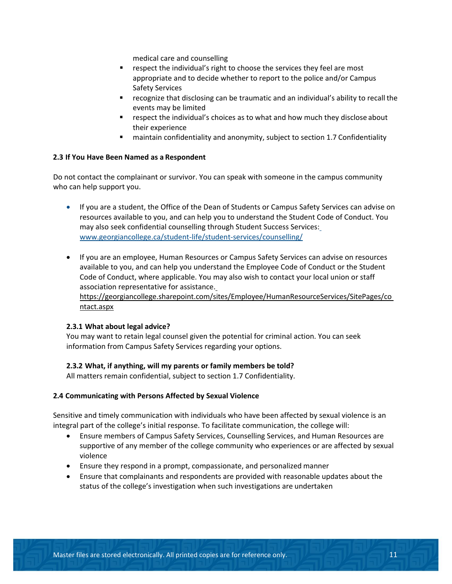medical care and counselling

- **F** respect the individual's right to choose the services they feel are most appropriate and to decide whether to report to the police and/or Campus Safety Services
- recognize that disclosing can be traumatic and an individual's ability to recall the events may be limited
- respect the individual's choices as to what and how much they disclose about their experience
- maintain confidentiality and anonymity, subject to section 1.7 Confidentiality

#### **2.3 If You Have Been Named as a Respondent**

Do not contact the complainant or survivor. You can speak with someone in the campus community who can help support you.

- If you are a student, the Office of the Dean of Students or Campus Safety Services can advise on resources available to you, and can help you to understand the Student Code of Conduct. You may also seek confidential counselling through Student Success Services: [www.georgiancollege.ca/student-life/student-services/counselling/](http://www.georgiancollege.ca/student-life/student-services/counselling/)
- If you are an employee, Human Resources or Campus Safety Services can advise on resources available to you, and can help you understand the Employee Code of Conduct or the Student Code of Conduct, where applicable. You may also wish to contact your local union or staff association representative for assistance[.](https://georgiancollege.sharepoint.com/sites/Employee/HumanResourceServices/SitePages/contact.aspx) [https://georgiancollege.sharepoint.com/sites/Employee/HumanResourceServices/SitePages/co](https://georgiancollege.sharepoint.com/sites/Employee/HumanResourceServices/SitePages/contact.aspx) [ntact.aspx](https://georgiancollege.sharepoint.com/sites/Employee/HumanResourceServices/SitePages/contact.aspx)

#### **2.3.1 What about legal advice?**

You may want to retain legal counsel given the potential for criminal action. You can seek information from Campus Safety Services regarding your options.

#### **2.3.2 What, if anything, will my parents or family members be told?**

All matters remain confidential, subject to section 1.7 Confidentiality.

#### **2.4 Communicating with Persons Affected by Sexual Violence**

Sensitive and timely communication with individuals who have been affected by sexual violence is an integral part of the college's initial response. To facilitate communication, the college will:

- Ensure members of Campus Safety Services, Counselling Services, and Human Resources are supportive of any member of the college community who experiences or are affected by sexual violence
- Ensure they respond in a prompt, compassionate, and personalized manner
- Ensure that complainants and respondents are provided with reasonable updates about the status of the college's investigation when such investigations are undertaken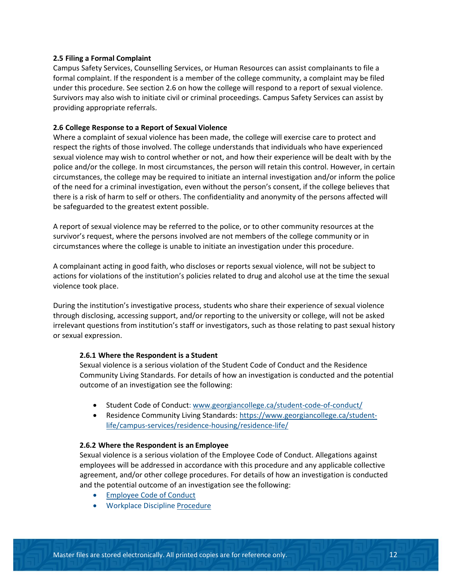#### **2.5 Filing a Formal Complaint**

Campus Safety Services, Counselling Services, or Human Resources can assist complainants to file a formal complaint. If the respondent is a member of the college community, a complaint may be filed under this procedure. See section 2.6 on how the college will respond to a report of sexual violence. Survivors may also wish to initiate civil or criminal proceedings. Campus Safety Services can assist by providing appropriate referrals.

#### **2.6 College Response to a Report of Sexual Violence**

Where a complaint of sexual violence has been made, the college will exercise care to protect and respect the rights of those involved. The college understands that individuals who have experienced sexual violence may wish to control whether or not, and how their experience will be dealt with by the police and/or the college. In most circumstances, the person will retain this control. However, in certain circumstances, the college may be required to initiate an internal investigation and/or inform the police of the need for a criminal investigation, even without the person's consent, if the college believes that there is a risk of harm to self or others. The confidentiality and anonymity of the persons affected will be safeguarded to the greatest extent possible.

A report of sexual violence may be referred to the police, or to other community resources at the survivor's request, where the persons involved are not members of the college community or in circumstances where the college is unable to initiate an investigation under this procedure.

A complainant acting in good faith, who discloses or reports sexual violence, will not be subject to actions for violations of the institution's policies related to drug and alcohol use at the time the sexual violence took place.

During the institution's investigative process, students who share their experience of sexual violence through disclosing, accessing support, and/or reporting to the university or college, will not be asked irrelevant questions from institution's staff or investigators, such as those relating to past sexual history or sexual expression.

#### **2.6.1 Where the Respondent is a Student**

Sexual violence is a serious violation of the Student Code of Conduct and the Residence Community Living Standards. For details of how an investigation is conducted and the potential outcome of an investigation see the following:

- Student Code of Conduct: [www.georgiancollege.ca/student-code-of-conduct/](http://www.georgiancollege.ca/student-code-of-conduct/)
- Residence Community Living Standards: [https://www.georgiancollege.ca/student](https://www.georgiancollege.ca/student-life/campus-services/residence-housing/residence-life/)[life/campus-services/residence-housing/residence-life/](https://www.georgiancollege.ca/student-life/campus-services/residence-housing/residence-life/)

#### **2.6.2 Where the Respondent is an Employee**

Sexual violence is a serious violation of the Employee Code of Conduct. Allegations against employees will be addressed in accordance with this procedure and any applicable collective agreement, and/or other college procedures. For details of how an investigation is conducted and the potential outcome of an investigation see the following:

- Employee Code of Conduct
- Workplace Discipline Procedure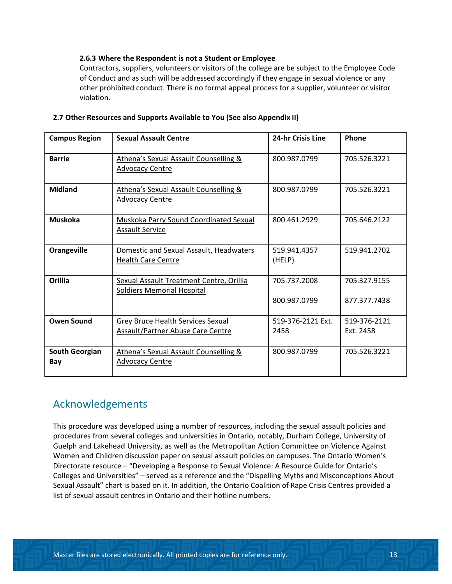#### **2.6.3 Where the Respondent is not a Student or Employee**

Contractors, suppliers, volunteers or visitors of the college are be subject to the Employee Code of Conduct and as such will be addressed accordingly if they engage in sexual violence or any other prohibited conduct. There is no formal appeal process for a supplier, volunteer or visitor violation.

| <b>Campus Region</b>         | <b>Sexual Assault Centre</b>                                                  | 24-hr Crisis Line            | Phone                        |
|------------------------------|-------------------------------------------------------------------------------|------------------------------|------------------------------|
| <b>Barrie</b>                | Athena's Sexual Assault Counselling &<br><b>Advocacy Centre</b>               | 800.987.0799                 | 705.526.3221                 |
| <b>Midland</b>               | <b>Athena's Sexual Assault Counselling &amp;</b><br><b>Advocacy Centre</b>    | 800.987.0799                 | 705.526.3221                 |
| <b>Muskoka</b>               | <b>Muskoka Parry Sound Coordinated Sexual</b><br><b>Assault Service</b>       | 800.461.2929                 | 705.646.2122                 |
| <b>Orangeville</b>           | Domestic and Sexual Assault, Headwaters<br><b>Health Care Centre</b>          | 519.941.4357<br>(HELP)       | 519.941.2702                 |
| <b>Orillia</b>               | Sexual Assault Treatment Centre, Orillia<br><b>Soldiers Memorial Hospital</b> | 705.737.2008<br>800.987.0799 | 705.327.9155<br>877.377.7438 |
| <b>Owen Sound</b>            | Grey Bruce Health Services Sexual<br><b>Assault/Partner Abuse Care Centre</b> | 519-376-2121 Ext.<br>2458    | 519-376-2121<br>Ext. 2458    |
| <b>South Georgian</b><br>Bay | Athena's Sexual Assault Counselling &<br><b>Advocacy Centre</b>               | 800.987.0799                 | 705.526.3221                 |

#### **2.7 Other Resources and Supports Available to You (See also Appendix II)**

### Acknowledgements

This procedure was developed using a number of resources, including the sexual assault policies and procedures from several colleges and universities in Ontario, notably, Durham College, University of Guelph and Lakehead University, as well as the Metropolitan Action Committee on Violence Against Women and Children discussion paper on sexual assault policies on campuses. The Ontario Women's Directorate resource – "Developing a Response to Sexual Violence: A Resource Guide for Ontario's Colleges and Universities" – served as a reference and the "Dispelling Myths and Misconceptions About Sexual Assault" chart is based on it. In addition, the Ontario Coalition of Rape Crisis Centres provided a list of sexual assault centres in Ontario and their hotline numbers.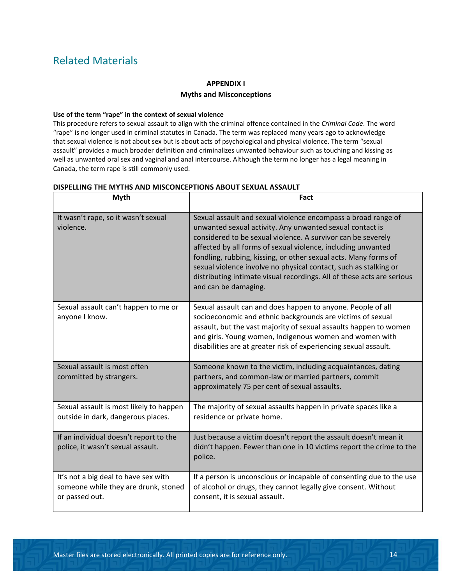## Related Materials

#### **APPENDIX I**

#### **Myths and Misconceptions**

#### **Use of the term "rape" in the context of sexual violence**

This procedure refers to sexual assault to align with the criminal offence contained in the *Criminal Code*. The word "rape" is no longer used in criminal statutes in Canada. The term was replaced many years ago to acknowledge that sexual violence is not about sex but is about acts of psychological and physical violence. The term "sexual assault" provides a much broader definition and criminalizes unwanted behaviour such as touching and kissing as well as unwanted oral sex and vaginal and anal intercourse. Although the term no longer has a legal meaning in Canada, the term rape is still commonly used.

| <b>Myth</b>                                                                                    | Fact                                                                                                                                                                                                                                                                                                                                                                                                                                                                                               |
|------------------------------------------------------------------------------------------------|----------------------------------------------------------------------------------------------------------------------------------------------------------------------------------------------------------------------------------------------------------------------------------------------------------------------------------------------------------------------------------------------------------------------------------------------------------------------------------------------------|
| It wasn't rape, so it wasn't sexual<br>violence.                                               | Sexual assault and sexual violence encompass a broad range of<br>unwanted sexual activity. Any unwanted sexual contact is<br>considered to be sexual violence. A survivor can be severely<br>affected by all forms of sexual violence, including unwanted<br>fondling, rubbing, kissing, or other sexual acts. Many forms of<br>sexual violence involve no physical contact, such as stalking or<br>distributing intimate visual recordings. All of these acts are serious<br>and can be damaging. |
| Sexual assault can't happen to me or<br>anyone I know.                                         | Sexual assault can and does happen to anyone. People of all<br>socioeconomic and ethnic backgrounds are victims of sexual<br>assault, but the vast majority of sexual assaults happen to women<br>and girls. Young women, Indigenous women and women with<br>disabilities are at greater risk of experiencing sexual assault.                                                                                                                                                                      |
| Sexual assault is most often<br>committed by strangers.                                        | Someone known to the victim, including acquaintances, dating<br>partners, and common-law or married partners, commit<br>approximately 75 per cent of sexual assaults.                                                                                                                                                                                                                                                                                                                              |
| Sexual assault is most likely to happen<br>outside in dark, dangerous places.                  | The majority of sexual assaults happen in private spaces like a<br>residence or private home.                                                                                                                                                                                                                                                                                                                                                                                                      |
| If an individual doesn't report to the<br>police, it wasn't sexual assault.                    | Just because a victim doesn't report the assault doesn't mean it<br>didn't happen. Fewer than one in 10 victims report the crime to the<br>police.                                                                                                                                                                                                                                                                                                                                                 |
| It's not a big deal to have sex with<br>someone while they are drunk, stoned<br>or passed out. | If a person is unconscious or incapable of consenting due to the use<br>of alcohol or drugs, they cannot legally give consent. Without<br>consent, it is sexual assault.                                                                                                                                                                                                                                                                                                                           |

#### **DISPELLING THE MYTHS AND MISCONCEPTIONS ABOUT SEXUAL ASSAULT**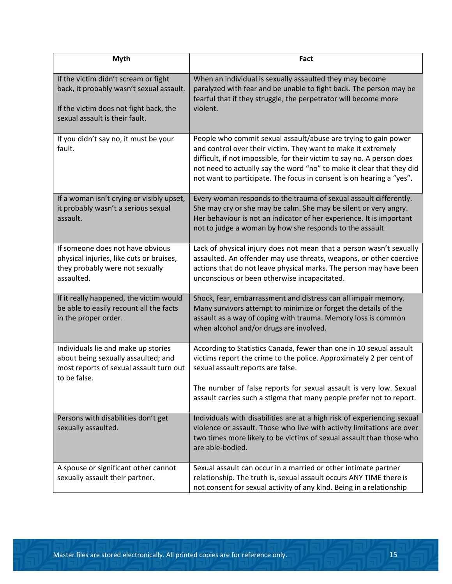| <b>Myth</b>                                                                                                                                                  | Fact                                                                                                                                                                                                                                                                                                                                                         |  |
|--------------------------------------------------------------------------------------------------------------------------------------------------------------|--------------------------------------------------------------------------------------------------------------------------------------------------------------------------------------------------------------------------------------------------------------------------------------------------------------------------------------------------------------|--|
| If the victim didn't scream or fight<br>back, it probably wasn't sexual assault.<br>If the victim does not fight back, the<br>sexual assault is their fault. | When an individual is sexually assaulted they may become<br>paralyzed with fear and be unable to fight back. The person may be<br>fearful that if they struggle, the perpetrator will become more<br>violent.                                                                                                                                                |  |
| If you didn't say no, it must be your<br>fault.                                                                                                              | People who commit sexual assault/abuse are trying to gain power<br>and control over their victim. They want to make it extremely<br>difficult, if not impossible, for their victim to say no. A person does<br>not need to actually say the word "no" to make it clear that they did<br>not want to participate. The focus in consent is on hearing a "yes". |  |
| If a woman isn't crying or visibly upset,<br>it probably wasn't a serious sexual<br>assault.                                                                 | Every woman responds to the trauma of sexual assault differently.<br>She may cry or she may be calm. She may be silent or very angry.<br>Her behaviour is not an indicator of her experience. It is important<br>not to judge a woman by how she responds to the assault.                                                                                    |  |
| If someone does not have obvious<br>physical injuries, like cuts or bruises,<br>they probably were not sexually<br>assaulted.                                | Lack of physical injury does not mean that a person wasn't sexually<br>assaulted. An offender may use threats, weapons, or other coercive<br>actions that do not leave physical marks. The person may have been<br>unconscious or been otherwise incapacitated.                                                                                              |  |
| If it really happened, the victim would<br>be able to easily recount all the facts<br>in the proper order.                                                   | Shock, fear, embarrassment and distress can all impair memory.<br>Many survivors attempt to minimize or forget the details of the<br>assault as a way of coping with trauma. Memory loss is common<br>when alcohol and/or drugs are involved.                                                                                                                |  |
| Individuals lie and make up stories<br>about being sexually assaulted; and<br>most reports of sexual assault turn out<br>to be false.                        | According to Statistics Canada, fewer than one in 10 sexual assault<br>victims report the crime to the police. Approximately 2 per cent of<br>sexual assault reports are false.<br>The number of false reports for sexual assault is very low. Sexual<br>assault carries such a stigma that many people prefer not to report.                                |  |
| Persons with disabilities don't get<br>sexually assaulted.                                                                                                   | Individuals with disabilities are at a high risk of experiencing sexual<br>violence or assault. Those who live with activity limitations are over<br>two times more likely to be victims of sexual assault than those who<br>are able-bodied.                                                                                                                |  |
| A spouse or significant other cannot<br>sexually assault their partner.                                                                                      | Sexual assault can occur in a married or other intimate partner<br>relationship. The truth is, sexual assault occurs ANY TIME there is<br>not consent for sexual activity of any kind. Being in a relationship                                                                                                                                               |  |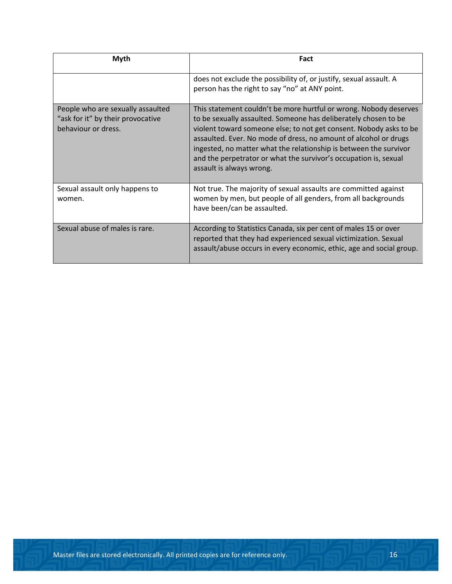| Myth                                                                                          | Fact                                                                                                                                                                                                                                                                                                                                                                                                                                                |  |
|-----------------------------------------------------------------------------------------------|-----------------------------------------------------------------------------------------------------------------------------------------------------------------------------------------------------------------------------------------------------------------------------------------------------------------------------------------------------------------------------------------------------------------------------------------------------|--|
|                                                                                               | does not exclude the possibility of, or justify, sexual assault. A<br>person has the right to say "no" at ANY point.                                                                                                                                                                                                                                                                                                                                |  |
| People who are sexually assaulted<br>"ask for it" by their provocative<br>behaviour or dress. | This statement couldn't be more hurtful or wrong. Nobody deserves<br>to be sexually assaulted. Someone has deliberately chosen to be<br>violent toward someone else; to not get consent. Nobody asks to be<br>assaulted. Ever. No mode of dress, no amount of alcohol or drugs<br>ingested, no matter what the relationship is between the survivor<br>and the perpetrator or what the survivor's occupation is, sexual<br>assault is always wrong. |  |
| Sexual assault only happens to<br>women.                                                      | Not true. The majority of sexual assaults are committed against<br>women by men, but people of all genders, from all backgrounds<br>have been/can be assaulted.                                                                                                                                                                                                                                                                                     |  |
| Sexual abuse of males is rare.                                                                | According to Statistics Canada, six per cent of males 15 or over<br>reported that they had experienced sexual victimization. Sexual<br>assault/abuse occurs in every economic, ethic, age and social group.                                                                                                                                                                                                                                         |  |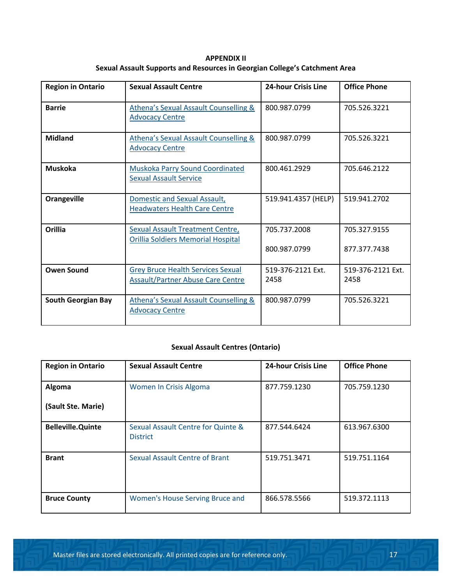**APPENDIX II Sexual Assault Supports and Resources in Georgian College's Catchment Area**

| <b>Region in Ontario</b>  | <b>Sexual Assault Centre</b>                                                         | <b>24-hour Crisis Line</b>   | <b>Office Phone</b>          |
|---------------------------|--------------------------------------------------------------------------------------|------------------------------|------------------------------|
| <b>Barrie</b>             | <b>Athena's Sexual Assault Counselling &amp;</b><br><b>Advocacy Centre</b>           | 800.987.0799                 | 705.526.3221                 |
| <b>Midland</b>            | <b>Athena's Sexual Assault Counselling &amp;</b><br><b>Advocacy Centre</b>           | 800.987.0799                 | 705.526.3221                 |
| <b>Muskoka</b>            | Muskoka Parry Sound Coordinated<br><b>Sexual Assault Service</b>                     | 800.461.2929                 | 705.646.2122                 |
| <b>Orangeville</b>        | Domestic and Sexual Assault,<br><b>Headwaters Health Care Centre</b>                 | 519.941.4357 (HELP)          | 519.941.2702                 |
| <b>Orillia</b>            | Sexual Assault Treatment Centre,<br><b>Orillia Soldiers Memorial Hospital</b>        | 705.737.2008<br>800.987.0799 | 705.327.9155<br>877.377.7438 |
| <b>Owen Sound</b>         | <b>Grey Bruce Health Services Sexual</b><br><b>Assault/Partner Abuse Care Centre</b> | 519-376-2121 Fxt.<br>2458    | 519-376-2121 Ext.<br>2458    |
| <b>South Georgian Bay</b> | Athena's Sexual Assault Counselling &<br><b>Advocacy Centre</b>                      | 800.987.0799                 | 705.526.3221                 |

#### **Sexual Assault Centres (Ontario)**

| <b>Region in Ontario</b> | <b>Sexual Assault Centre</b>                          | <b>24-hour Crisis Line</b> | <b>Office Phone</b> |
|--------------------------|-------------------------------------------------------|----------------------------|---------------------|
| Algoma                   | Women In Crisis Algoma                                | 877.759.1230               | 705.759.1230        |
| (Sault Ste. Marie)       |                                                       |                            |                     |
| <b>Belleville.Quinte</b> | Sexual Assault Centre for Quinte &<br><b>District</b> | 877.544.6424               | 613.967.6300        |
| <b>Brant</b>             | <b>Sexual Assault Centre of Brant</b>                 | 519.751.3471               | 519.751.1164        |
| <b>Bruce County</b>      | Women's House Serving Bruce and                       | 866.578.5566               | 519.372.1113        |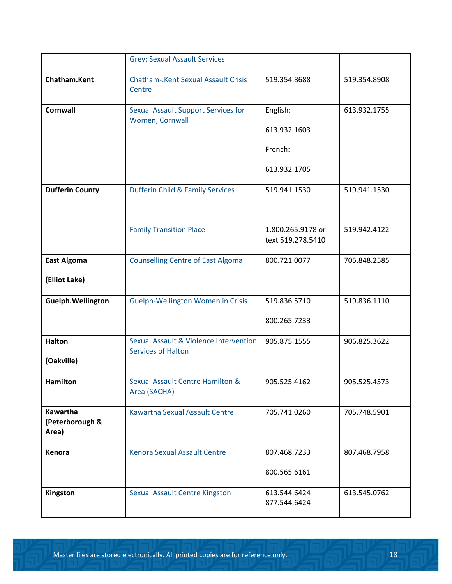|                                      | <b>Grey: Sexual Assault Services</b>                                           |                                        |              |
|--------------------------------------|--------------------------------------------------------------------------------|----------------------------------------|--------------|
| Chatham.Kent                         | <b>Chatham-.Kent Sexual Assault Crisis</b><br>Centre                           | 519.354.8688                           | 519.354.8908 |
| <b>Cornwall</b>                      | <b>Sexual Assault Support Services for</b><br>Women, Cornwall                  | English:                               | 613.932.1755 |
|                                      |                                                                                | 613.932.1603                           |              |
|                                      |                                                                                | French:                                |              |
|                                      |                                                                                | 613.932.1705                           |              |
| <b>Dufferin County</b>               | <b>Dufferin Child &amp; Family Services</b>                                    | 519.941.1530                           | 519.941.1530 |
|                                      |                                                                                |                                        |              |
|                                      | <b>Family Transition Place</b>                                                 | 1.800.265.9178 or<br>text 519.278.5410 | 519.942.4122 |
| <b>East Algoma</b>                   | <b>Counselling Centre of East Algoma</b>                                       | 800.721.0077                           | 705.848.2585 |
| (Elliot Lake)                        |                                                                                |                                        |              |
| Guelph.Wellington                    | Guelph-Wellington Women in Crisis                                              | 519.836.5710                           | 519.836.1110 |
|                                      |                                                                                | 800.265.7233                           |              |
| <b>Halton</b>                        | <b>Sexual Assault &amp; Violence Intervention</b><br><b>Services of Halton</b> | 905.875.1555                           | 906.825.3622 |
| (Oakville)                           |                                                                                |                                        |              |
| Hamilton                             | Sexual Assault Centre Hamilton &<br>Area (SACHA)                               | 905.525.4162                           | 905.525.4573 |
| Kawartha<br>(Peterborough &<br>Area) | <b>Kawartha Sexual Assault Centre</b>                                          | 705.741.0260                           | 705.748.5901 |
| Kenora                               | <b>Kenora Sexual Assault Centre</b>                                            | 807.468.7233                           | 807.468.7958 |
|                                      |                                                                                | 800.565.6161                           |              |
| Kingston                             | <b>Sexual Assault Centre Kingston</b>                                          | 613.544.6424<br>877.544.6424           | 613.545.0762 |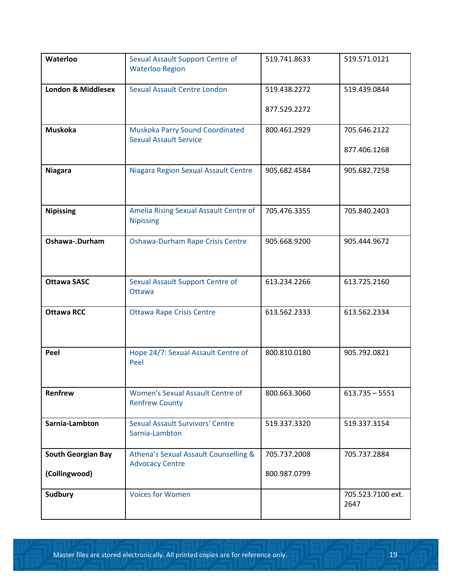| Waterloo                                   | <b>Sexual Assault Support Centre of</b><br><b>Waterloo Region</b> | 519.741.8633                 | 519.571.0121                 |
|--------------------------------------------|-------------------------------------------------------------------|------------------------------|------------------------------|
| <b>London &amp; Middlesex</b>              | Sexual Assault Centre London                                      | 519.438.2272<br>877.529.2272 | 519.439.0844                 |
| <b>Muskoka</b>                             | Muskoka Parry Sound Coordinated<br><b>Sexual Assault Service</b>  | 800.461.2929                 | 705.646.2122<br>877.406.1268 |
| <b>Niagara</b>                             | Niagara Region Sexual Assault Centre                              | 905.682.4584                 | 905.682.7258                 |
| <b>Nipissing</b>                           | Amelia Rising Sexual Assault Centre of<br><b>Nipissing</b>        | 705.476.3355                 | 705.840.2403                 |
| Oshawa-.Durham                             | Oshawa-Durham Rape Crisis Centre                                  | 905.668.9200                 | 905.444.9672                 |
| <b>Ottawa SASC</b>                         | <b>Sexual Assault Support Centre of</b><br><b>Ottawa</b>          | 613.234.2266                 | 613.725.2160                 |
| <b>Ottawa RCC</b>                          | <b>Ottawa Rape Crisis Centre</b>                                  | 613.562.2333                 | 613.562.2334                 |
| Peel                                       | Hope 24/7: Sexual Assault Centre of<br>Peel                       | 800.810.0180                 | 905.792.0821                 |
| Renfrew                                    | Women's Sexual Assault Centre of<br><b>Renfrew County</b>         | 800.663.3060                 | $613.735 - 5551$             |
| Sarnia-Lambton                             | <b>Sexual Assault Survivors' Centre</b><br>Sarnia-Lambton         | 519.337.3320                 | 519.337.3154                 |
| <b>South Georgian Bay</b><br>(Collingwood) | Athena's Sexual Assault Counselling &<br><b>Advocacy Centre</b>   | 705.737.2008<br>800.987.0799 | 705.737.2884                 |
| <b>Sudbury</b>                             | <b>Voices for Women</b>                                           |                              | 705.523.7100 ext.<br>2647    |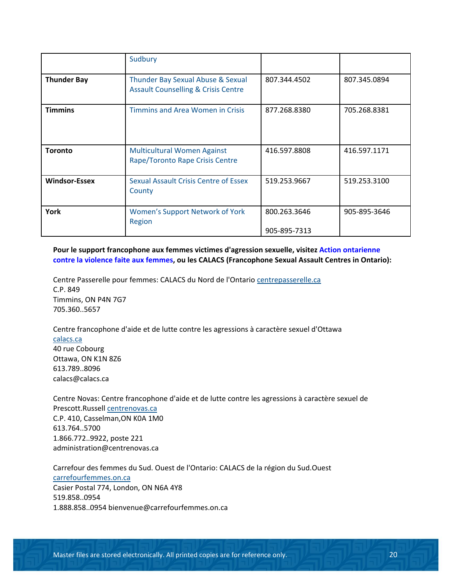|                      | Sudbury                                                                             |                              |              |
|----------------------|-------------------------------------------------------------------------------------|------------------------------|--------------|
| <b>Thunder Bay</b>   | Thunder Bay Sexual Abuse & Sexual<br><b>Assault Counselling &amp; Crisis Centre</b> | 807.344.4502                 | 807.345.0894 |
| <b>Timmins</b>       | <b>Timmins and Area Women in Crisis</b>                                             | 877.268.8380                 | 705.268.8381 |
| <b>Toronto</b>       | <b>Multicultural Women Against</b><br>Rape/Toronto Rape Crisis Centre               | 416.597.8808                 | 416.597.1171 |
| <b>Windsor-Essex</b> | <b>Sexual Assault Crisis Centre of Essex</b><br>County                              | 519.253.9667                 | 519.253.3100 |
| York                 | <b>Women's Support Network of York</b><br>Region                                    | 800.263.3646<br>905-895-7313 | 905-895-3646 |

**Pour le support francophone aux femmes victimes d'agression sexuelle, visite[z Action ontarienne](http://aocvf.ca/services-aux-femmes/) [contre la violence faite aux femmes,](http://aocvf.ca/services-aux-femmes/) ou les CALACS (Francophone Sexual Assault Centres in Ontario):**

Centre Passerelle pour femmes: CALACS du Nord de l'Ontario [centrepasserelle.ca](http://centrepasserelle.ca/) C.P. 849 Timmins, ON P4N 7G7 705.360..5657

Centre francophone d'aide et de lutte contre les agressions à caractère sexuel d'Ottawa [calacs.ca](http://calacs.ca/) 40 rue Cobourg Ottawa, ON K1N 8Z6 613.789..8096 [calacs@calacs.ca](mailto:calacs@calacs.ca)

Centre Novas: Centre francophone d'aide et de lutte contre les agressions à caractère sexuel de Prescott.Russell [centrenovas.ca](http://centrenovas.ca/) C.P. 410, Casselman,ON K0A 1M0 613.764..5700 1.866.772..9922, poste 221 [administration@centrenovas.ca](mailto:administration@centrenovas.ca)

Carrefour des femmes du Sud. Ouest de l'Ontario: CALACS de la région du Sud.Ouest [carrefourfemmes.on.ca](http://carrefourfemmes.on.ca/) Casier Postal 774, London, ON N6A 4Y8 519.858..0954 1.888.858..0954 [bienvenue@carrefourfemmes.on.ca](mailto:bienvenue@carrefourfemmes.on.ca)